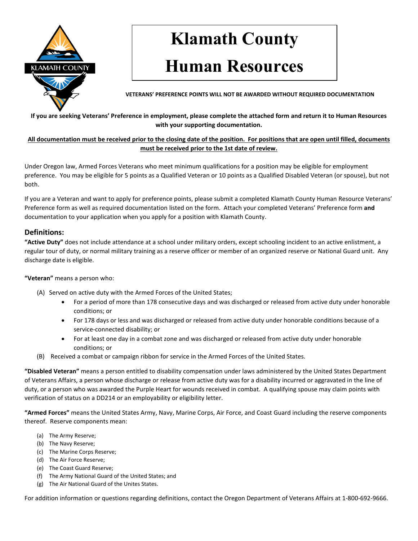

# **Klamath County**

## **Human Resources**

**VETERANS' PREFERENCE POINTS WILL NOT BE AWARDED WITHOUT REQUIRED DOCUMENTATION**

#### **If you are seeking Veterans' Preference in employment, please complete the attached form and return it to Human Resources with your supporting documentation.**

**All documentation must be received prior to the closing date of the position. For positions that are open until filled, documents must be received prior to the 1st date of review.**

Under Oregon law, Armed Forces Veterans who meet minimum qualifications for a position may be eligible for employment preference. You may be eligible for 5 points as a Qualified Veteran or 10 points as a Qualified Disabled Veteran (or spouse), but not both.

If you are a Veteran and want to apply for preference points, please submit a completed Klamath County Human Resource Veterans' Preference form as well as required documentation listed on the form. Attach your completed Veterans' Preference form **and**  documentation to your application when you apply for a position with Klamath County.

### **Definitions:**

**"Active Duty"** does not include attendance at a school under military orders, except schooling incident to an active enlistment, a regular tour of duty, or normal military training as a reserve officer or member of an organized reserve or National Guard unit. Any discharge date is eligible.

#### **"Veteran"** means a person who:

- (A) Served on active duty with the Armed Forces of the United States;
	- For a period of more than 178 consecutive days and was discharged or released from active duty under honorable conditions; or
	- For 178 days or less and was discharged or released from active duty under honorable conditions because of a service-connected disability; or
	- For at least one day in a combat zone and was discharged or released from active duty under honorable conditions; or
- (B) Received a combat or campaign ribbon for service in the Armed Forces of the United States.

**"Disabled Veteran"** means a person entitled to disability compensation under laws administered by the United States Department of Veterans Affairs, a person whose discharge or release from active duty was for a disability incurred or aggravated in the line of duty, or a person who was awarded the Purple Heart for wounds received in combat. A qualifying spouse may claim points with verification of status on a DD214 or an employability or eligibility letter.

**"Armed Forces"** means the United States Army, Navy, Marine Corps, Air Force, and Coast Guard including the reserve components thereof. Reserve components mean:

- (a) The Army Reserve;
- (b) The Navy Reserve;
- (c) The Marine Corps Reserve;
- (d) The Air Force Reserve;
- (e) The Coast Guard Reserve;
- (f) The Army National Guard of the United States; and
- (g) The Air National Guard of the Unites States.

For addition information or questions regarding definitions, contact the Oregon Department of Veterans Affairs at 1-800-692-9666.